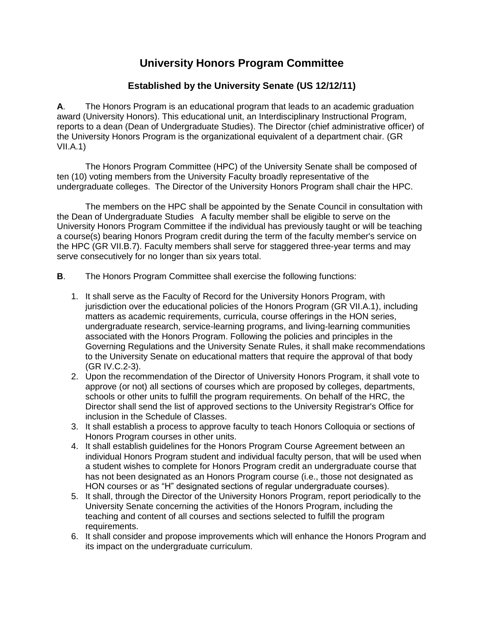## **University Honors Program Committee**

## **Established by the University Senate (US 12/12/11)**

**A**. The Honors Program is an educational program that leads to an academic graduation award (University Honors). This educational unit, an Interdisciplinary Instructional Program, reports to a dean (Dean of Undergraduate Studies). The Director (chief administrative officer) of the University Honors Program is the organizational equivalent of a department chair. (GR VII.A.1)

The Honors Program Committee (HPC) of the University Senate shall be composed of ten (10) voting members from the University Faculty broadly representative of the undergraduate colleges. The Director of the University Honors Program shall chair the HPC.

The members on the HPC shall be appointed by the Senate Council in consultation with the Dean of Undergraduate Studies A faculty member shall be eligible to serve on the University Honors Program Committee if the individual has previously taught or will be teaching a course(s) bearing Honors Program credit during the term of the faculty member's service on the HPC (GR VII.B.7). Faculty members shall serve for staggered three-year terms and may serve consecutively for no longer than six years total.

- **B**. The Honors Program Committee shall exercise the following functions:
	- 1. It shall serve as the Faculty of Record for the University Honors Program, with jurisdiction over the educational policies of the Honors Program (GR VII.A.1), including matters as academic requirements, curricula, course offerings in the HON series, undergraduate research, service-learning programs, and living-learning communities associated with the Honors Program. Following the policies and principles in the Governing Regulations and the University Senate Rules, it shall make recommendations to the University Senate on educational matters that require the approval of that body (GR IV.C.2-3).
	- 2. Upon the recommendation of the Director of University Honors Program, it shall vote to approve (or not) all sections of courses which are proposed by colleges, departments, schools or other units to fulfill the program requirements. On behalf of the HRC, the Director shall send the list of approved sections to the University Registrar's Office for inclusion in the Schedule of Classes.
	- 3. It shall establish a process to approve faculty to teach Honors Colloquia or sections of Honors Program courses in other units.
	- 4. It shall establish guidelines for the Honors Program Course Agreement between an individual Honors Program student and individual faculty person, that will be used when a student wishes to complete for Honors Program credit an undergraduate course that has not been designated as an Honors Program course (i.e., those not designated as HON courses or as "H" designated sections of regular undergraduate courses).
	- 5. It shall, through the Director of the University Honors Program, report periodically to the University Senate concerning the activities of the Honors Program, including the teaching and content of all courses and sections selected to fulfill the program requirements.
	- 6. It shall consider and propose improvements which will enhance the Honors Program and its impact on the undergraduate curriculum.